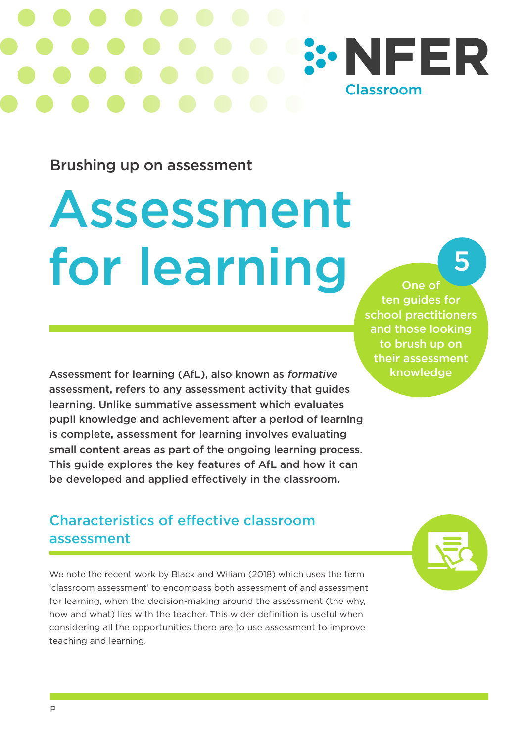# **SONFER Classroom**

Brushing up on assessment

## Assessment for learning

Assessment for learning (AfL), also known as formative assessment, refers to any assessment activity that guides learning. Unlike summative assessment which evaluates pupil knowledge and achievement after a period of learning is complete, assessment for learning involves evaluating small content areas as part of the ongoing learning process. This guide explores the key features of AfL and how it can be developed and applied effectively in the classroom.

#### Characteristics of effective classroom assessment

We note the recent work by Black and Wiliam (2018) which uses the term 'classroom assessment' to encompass both assessment of and assessment for learning, when the decision-making around the assessment (the why, how and what) lies with the teacher. This wider definition is useful when considering all the opportunities there are to use assessment to improve teaching and learning.

One of ten guides for school practitioners and those looking to brush up on their assessment knowledge

5

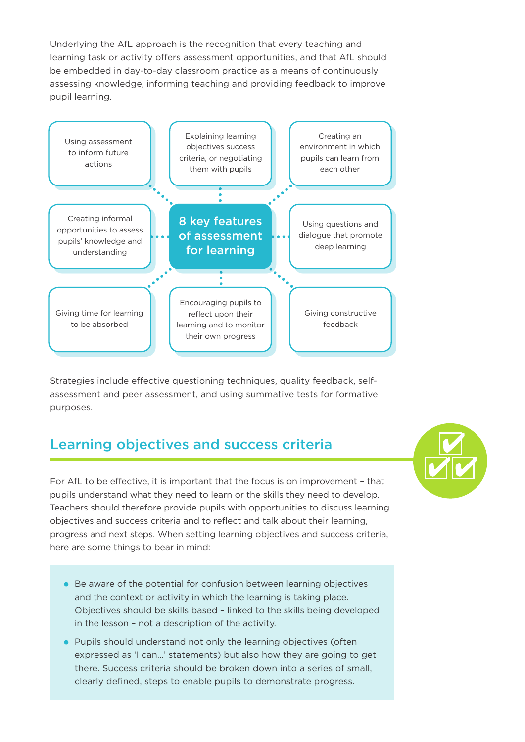Underlying the AfL approach is the recognition that every teaching and learning task or activity offers assessment opportunities, and that AfL should be embedded in day-to-day classroom practice as a means of continuously assessing knowledge, informing teaching and providing feedback to improve pupil learning.



Strategies include effective questioning techniques, quality feedback, selfassessment and peer assessment, and using summative tests for formative purposes.

#### Learning objectives and success criteria

For AfL to be effective, it is important that the focus is on improvement – that pupils understand what they need to learn or the skills they need to develop. Teachers should therefore provide pupils with opportunities to discuss learning objectives and success criteria and to reflect and talk about their learning, progress and next steps. When setting learning objectives and success criteria, here are some things to bear in mind:

- Be aware of the potential for confusion between learning objectives and the context or activity in which the learning is taking place. Objectives should be skills based – linked to the skills being developed in the lesson – not a description of the activity.
- Pupils should understand not only the learning objectives (often expressed as 'I can…' statements) but also how they are going to get there. Success criteria should be broken down into a series of small, clearly defined, steps to enable pupils to demonstrate progress.